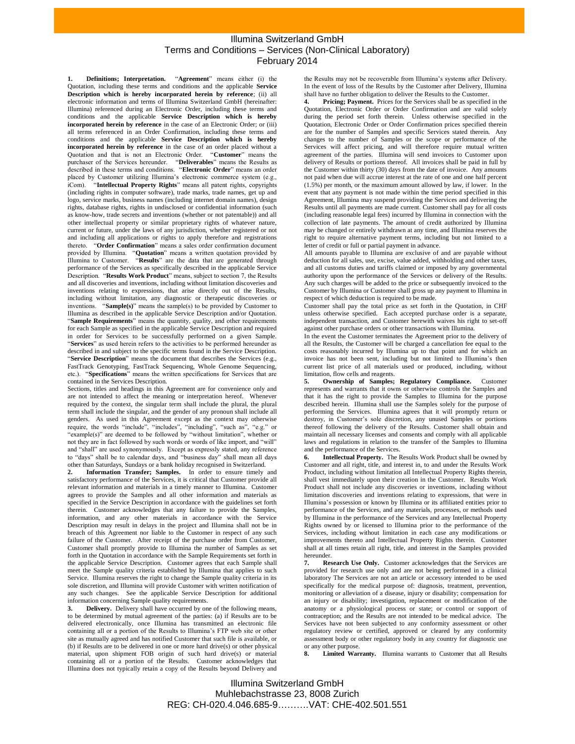## Illumina Switzerland GmbH Terms and Conditions – Services (Non-Clinical Laboratory) February 2014

<span id="page-0-0"></span>**1. Definitions; Interpretation.** "**Agreement**" means either (i) the Quotation, including these terms and conditions and the applicable **Service Description which is hereby incorporated herein by reference**; (ii) all electronic information and terms of Illumina Switzerland GmbH (hereinafter: Illumina) referenced during an Electronic Order, including these terms and conditions and the applicable **Service Description which is hereby incorporated herein by reference** in the case of an Electronic Order; or (iii) all terms referenced in an Order Confirmation, including these terms and conditions and the applicable **Service Description which is hereby incorporated herein by reference** in the case of an order placed without a Quotation and that is not an Electronic Order. "**Customer**" means the purchaser of the Services hereunder. "**Deliverables**" means the Results as described in these terms and conditions. "**Electronic Order**" means an order placed by Customer utilizing Illumina's electronic commerce system (e.g., iCom). "**Intellectual Property Rights**" means all patent rights, copyrights (including rights in computer software), trade marks, trade names, get up and logo, service marks, business names (including internet domain names), design rights, database rights, rights in undisclosed or confidential information (such as know-how, trade secrets and inventions (whether or not patentable)) and all other intellectual property or similar proprietary rights of whatever nature, current or future, under the laws of any jurisdiction, whether registered or not and including all applications or rights to apply therefore and registrations thereto. "**Order Confirmation**" means a sales order confirmation document provided by Illumina. "**Quotation**" means a written quotation provided by Illumina to Customer. "**Results**" are the data that are generated through performance of the Services as specifically described in the applicable Service Description. "**Results Work Product**" means, subject to section 7, the Results and all discoveries and inventions, including without limitation discoveries and inventions relating to expressions, that arise directly out of the Results, including without limitation, any diagnostic or therapeutic discoveries or inventions. "**Sample(s)**" means the sample(s) to be provided by Customer to Illumina as described in the applicable Service Description and/or Quotation. "**Sample Requirements**" means the quantity, quality, and other requirements for each Sample as specified in the applicable Service Description and required in order for Services to be successfully performed on a given Sample. "**Services**" as used herein refers to the activities to be performed hereunder as described in and subject to the specific terms found in the Service Description. "**Service Description**" means the document that describes the Services (e.g., FastTrack Genotyping, FastTrack Sequencing, Whole Genome Sequencing, etc.). "**Specifications**" means the written specifications for Services that are contained in the Services Description.

Sections, titles and headings in this Agreement are for convenience only and are not intended to affect the meaning or interpretation hereof. Whenever required by the context, the singular term shall include the plural, the plural term shall include the singular, and the gender of any pronoun shall include all genders. As used in this Agreement except as the context may otherwise require, the words "include", "includes", "including", "such as", "e.g." or "example(s)" are deemed to be followed by "without limitation", whether or not they are in fact followed by such words or words of like import, and "will" and "shall" are used synonymously. Except as expressly stated, any reference to "days" shall be to calendar days, and "business day" shall mean all days other than Saturdays, Sundays or a bank holiday recognised in Switzerland.

**2. Information Transfer; Samples.** In order to ensure timely and satisfactory performance of the Services, it is critical that Customer provide all relevant information and materials in a timely manner to Illumina. Customer agrees to provide the Samples and all other information and materials as specified in the Service Description in accordance with the guidelines set forth therein. Customer acknowledges that any failure to provide the Samples, information, and any other materials in accordance with the Service Description may result in delays in the project and Illumina shall not be in breach of this Agreement nor liable to the Customer in respect of any such failure of the Customer. After receipt of the purchase order from Customer, Customer shall promptly provide to Illumina the number of Samples as set forth in the Quotation in accordance with the Sample Requirements set forth in the applicable Service Description. Customer agrees that each Sample shall meet the Sample quality criteria established by Illumina that applies to such Service. Illumina reserves the right to change the Sample quality criteria in its sole discretion, and Illumina will provide Customer with written notification of any such changes. See the applicable Service Description for additional information concerning Sample quality requirements.

**3. Delivery.** Delivery shall have occurred by one of the following means, to be determined by mutual agreement of the parties: (a) if Results are to be delivered electronically, once Illumina has transmitted an electronic file containing all or a portion of the Results to Illumina's FTP web site or other site as mutually agreed and has notified Customer that such file is available, or (b) if Results are to be delivered in one or more hard drive(s) or other physical material, upon shipment FOB origin of such hard drive(s) or material containing all or a portion of the Results. Customer acknowledges that Illumina does not typically retain a copy of the Results beyond Delivery and the Results may not be recoverable from Illumina's systems after Delivery. In the event of loss of the Results by the Customer after Delivery, Illumina shall have no further obligation to deliver the Results to the Customer.

Pricing; Payment. Prices for the Services shall be as specified in the Quotation, Electronic Order or Order Confirmation and are valid solely during the period set forth therein. Unless otherwise specified in the Quotation, Electronic Order or Order Confirmation prices specified therein are for the number of Samples and specific Services stated therein. Any changes to the number of Samples or the scope or performance of the Services will affect pricing, and will therefore require mutual written agreement of the parties. Illumina will send invoices to Customer upon delivery of Results or portions thereof. All invoices shall be paid in full by the Customer within thirty (30) days from the date of invoice. Any amounts not paid when due will accrue interest at the rate of one and one half percent (1.5%) per month, or the maximum amount allowed by law, if lower. In the event that any payment is not made within the time period specified in this Agreement, Illumina may suspend providing the Services and delivering the Results until all payments are made current. Customer shall pay for all costs (including reasonable legal fees) incurred by Illumina in connection with the collection of late payments. The amount of credit authorized by Illumina may be changed or entirely withdrawn at any time, and Illumina reserves the right to require alternative payment terms, including but not limited to a letter of credit or full or partial payment in advance.

All amounts payable to Illumina are exclusive of and are payable without deduction for all sales, use, excise, value added, withholding and other taxes, and all customs duties and tariffs claimed or imposed by any governmental authority upon the performance of the Services or delivery of the Results. Any such charges will be added to the price or subsequently invoiced to the Customer by Illumina or Customer shall gross up any payment to Illumina in respect of which deduction is required to be made.

Customer shall pay the total price as set forth in the Quotation, in CHF unless otherwise specified. Each accepted purchase order is a separate, independent transaction, and Customer herewith waives his right to set-off against other purchase orders or other transactions with Illumina.

In the event the Customer terminates the Agreement prior to the delivery of all the Results, the Customer will be charged a cancellation fee equal to the costs reasonably incurred by Illumina up to that point and for which an invoice has not been sent, including but not limited to Illumina's then current list price of all materials used or produced, including, without limitation, flow cells and reagents.

**5. Ownership of Samples; Regulatory Compliance.** Customer represents and warrants that it owns or otherwise controls the Samples and that it has the right to provide the Samples to Illumina for the purpose described herein. Illumina shall use the Samples solely for the purpose of performing the Services. Illumina agrees that it will promptly return or destroy, in Customer's sole discretion, any unused Samples or portions thereof following the delivery of the Results. Customer shall obtain and maintain all necessary licenses and consents and comply with all applicable laws and regulations in relation to the transfer of the Samples to Illumina and the performance of the Services.

**6. Intellectual Property.** The Results Work Product shall be owned by Customer and all right, title, and interest in, to and under the Results Work Product, including without limitation all Intellectual Property Rights therein, shall vest immediately upon their creation in the Customer. Results Work Product shall not include any discoveries or inventions, including without limitation discoveries and inventions relating to expressions, that were in Illumina's possession or known by Illumina or its affiliated entities prior to performance of the Services, and any materials, processes, or methods used by Illumina in the performance of the Services and any Intellectual Property Rights owned by or licensed to Illumina prior to the performance of the Services, including without limitation in each case any modifications or improvements thereto and Intellectual Property Rights therein. Customer shall at all times retain all right, title, and interest in the Samples provided hereunder.<br>7. Res

**7. Research Use Only.** Customer acknowledges that the Services are provided for research use only and are not being performed in a clinical laboratory The Services are not an article or accessory intended to be used specifically for the medical purpose of: diagnosis, treatment, prevention, monitoring or alleviation of a disease, injury or disability; compensation for an injury or disability; investigation, replacement or modification of the anatomy or a physiological process or state; or control or support of contraception; and the Results are not intended to be medical advice. The Services have not been subjected to any conformity assessment or other regulatory review or certified, approved or cleared by any conformity assessment body or other regulatory body in any country for diagnostic use or any other purpose.

**8. Limited Warranty.** Illumina warrants to Customer that all Results

Illumina Switzerland GmbH Muhlebachstrasse 23, 8008 Zurich REG: CH-020.4.046.685-9……….VAT: CHE-402.501.551